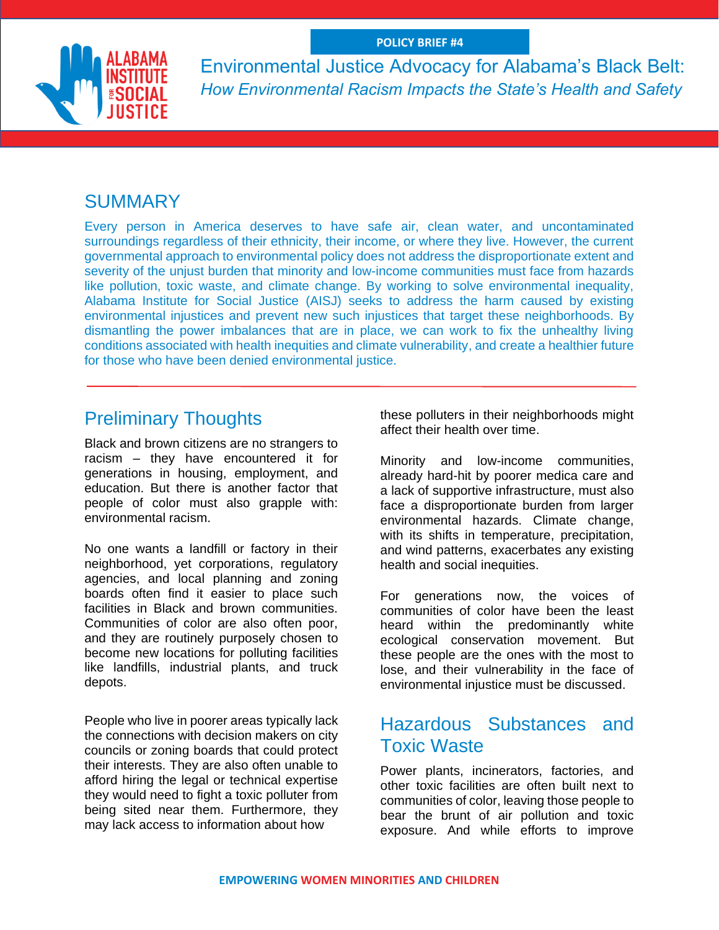

Environmental Justice Advocacy for Alabama's Black Belt: *How Environmental Racism Impacts the State's Health and Safety*

## **SUMMARY**

Every person in America deserves to have safe air, clean water, and uncontaminated surroundings regardless of their ethnicity, their income, or where they live. However, the current governmental approach to environmental policy does not address the disproportionate extent and severity of the unjust burden that minority and low-income communities must face from hazards like pollution, toxic waste, and climate change. By working to solve environmental inequality, Alabama Institute for Social Justice (AISJ) seeks to address the harm caused by existing environmental injustices and prevent new such injustices that target these neighborhoods. By dismantling the power imbalances that are in place, we can work to fix the unhealthy living conditions associated with health inequities and climate vulnerability, and create a healthier future for those who have been denied environmental justice.

## Preliminary Thoughts

Black and brown citizens are no strangers to racism – they have encountered it for generations in housing, employment, and education. But there is another factor that people of color must also grapple with: environmental racism.

No one wants a landfill or factory in their neighborhood, yet corporations, regulatory agencies, and local planning and zoning boards often find it easier to place such facilities in Black and brown communities. Communities of color are also often poor, and they are routinely purposely chosen to become new locations for polluting facilities like landfills, industrial plants, and truck depots.

People who live in poorer areas typically lack the connections with decision makers on city councils or zoning boards that could protect their interests. They are also often unable to afford hiring the legal or technical expertise they would need to fight a toxic polluter from being sited near them. Furthermore, they may lack access to information about how

these polluters in their neighborhoods might affect their health over time.

Minority and low-income communities, already hard-hit by poorer medica care and a lack of supportive infrastructure, must also face a disproportionate burden from larger environmental hazards. Climate change, with its shifts in temperature, precipitation, and wind patterns, exacerbates any existing health and social inequities.

For generations now, the voices of communities of color have been the least heard within the predominantly white ecological conservation movement. But these people are the ones with the most to lose, and their vulnerability in the face of environmental injustice must be discussed.

### Hazardous Substances and Toxic Waste

Power plants, incinerators, factories, and other toxic facilities are often built next to communities of color, leaving those people to bear the brunt of air pollution and toxic exposure. And while efforts to improve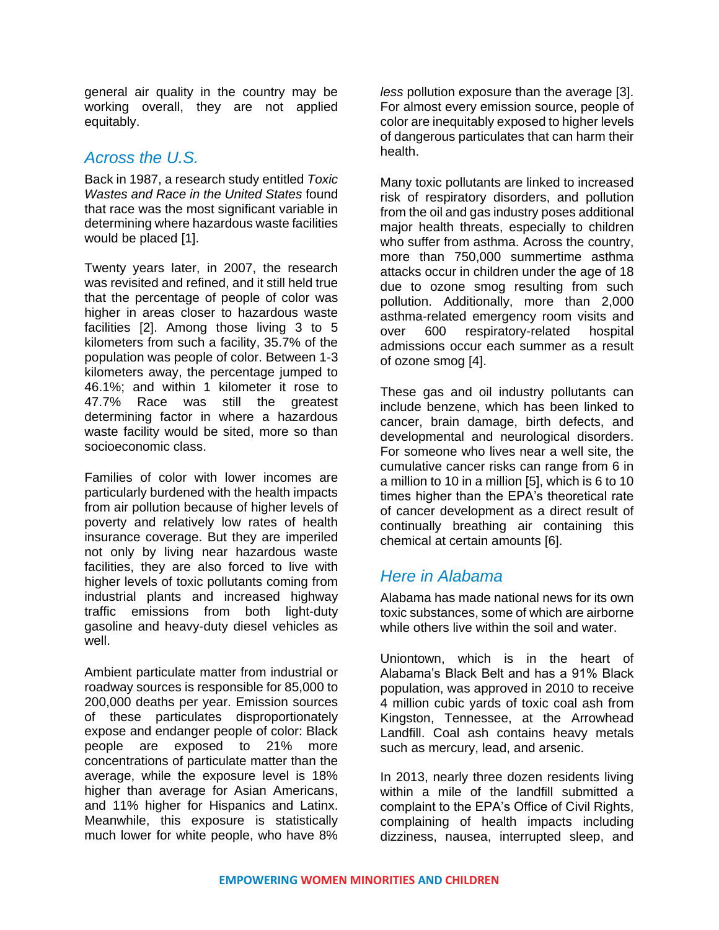general air quality in the country may be working overall, they are not applied equitably.

### *Across the U.S.*

Back in 1987, a research study entitled *Toxic Wastes and Race in the United States* found that race was the most significant variable in determining where hazardous waste facilities would be placed [1].

Twenty years later, in 2007, the research was revisited and refined, and it still held true that the percentage of people of color was higher in areas closer to hazardous waste facilities [2]. Among those living 3 to 5 kilometers from such a facility, 35.7% of the population was people of color. Between 1-3 kilometers away, the percentage jumped to 46.1%; and within 1 kilometer it rose to 47.7% Race was still the greatest determining factor in where a hazardous waste facility would be sited, more so than socioeconomic class.

Families of color with lower incomes are particularly burdened with the health impacts from air pollution because of higher levels of poverty and relatively low rates of health insurance coverage. But they are imperiled not only by living near hazardous waste facilities, they are also forced to live with higher levels of toxic pollutants coming from industrial plants and increased highway traffic emissions from both light-duty gasoline and heavy-duty diesel vehicles as well.

Ambient particulate matter from industrial or roadway sources is responsible for 85,000 to 200,000 deaths per year. Emission sources of these particulates disproportionately expose and endanger people of color: Black people are exposed to 21% more concentrations of particulate matter than the average, while the exposure level is 18% higher than average for Asian Americans, and 11% higher for Hispanics and Latinx. Meanwhile, this exposure is statistically much lower for white people, who have 8%

*less* pollution exposure than the average [3]. For almost every emission source, people of color are inequitably exposed to higher levels of dangerous particulates that can harm their health.

Many toxic pollutants are linked to increased risk of respiratory disorders, and pollution from the oil and gas industry poses additional major health threats, especially to children who suffer from asthma. Across the country, more than 750,000 summertime asthma attacks occur in children under the age of 18 due to ozone smog resulting from such pollution. Additionally, more than 2,000 asthma-related emergency room visits and over 600 respiratory-related hospital admissions occur each summer as a result of ozone smog [4].

These gas and oil industry pollutants can include benzene, which has been linked to cancer, brain damage, birth defects, and developmental and neurological disorders. For someone who lives near a well site, the cumulative cancer risks can range from 6 in a million to 10 in a million [5], which is 6 to 10 times higher than the EPA's theoretical rate of cancer development as a direct result of continually breathing air containing this chemical at certain amounts [6].

### *Here in Alabama*

Alabama has made national news for its own toxic substances, some of which are airborne while others live within the soil and water.

Uniontown, which is in the heart of Alabama's Black Belt and has a 91% Black population, was approved in 2010 to receive 4 million cubic yards of toxic coal ash from Kingston, Tennessee, at the Arrowhead Landfill. Coal ash contains heavy metals such as mercury, lead, and arsenic.

In 2013, nearly three dozen residents living within a mile of the landfill submitted a complaint to the EPA's Office of Civil Rights, complaining of health impacts including dizziness, nausea, interrupted sleep, and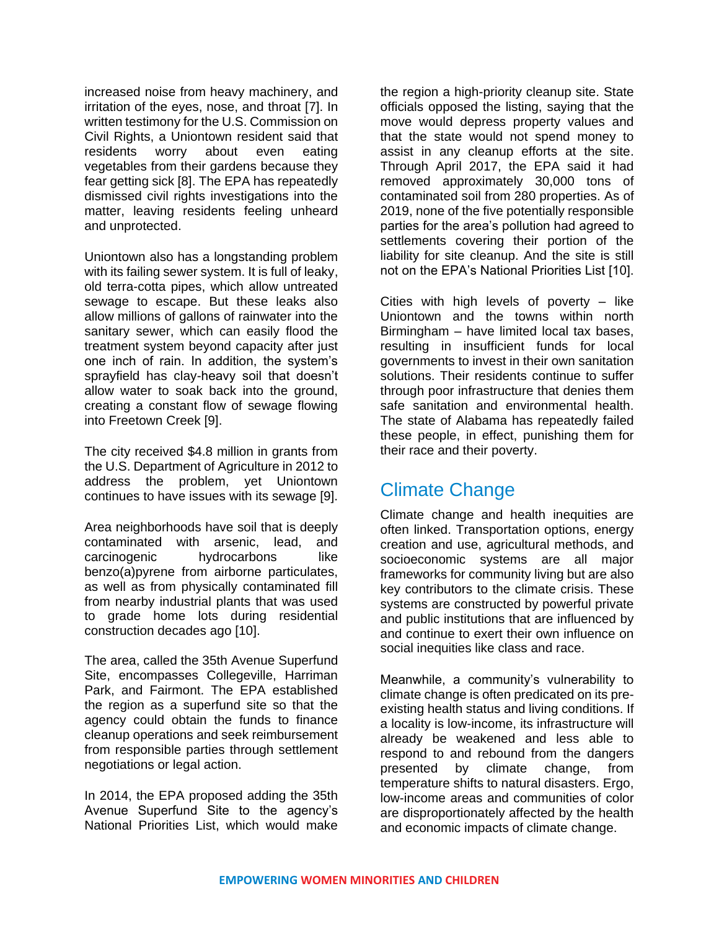increased noise from heavy machinery, and irritation of the eyes, nose, and throat [7]. In written testimony for the U.S. Commission on Civil Rights, a Uniontown resident said that residents worry about even eating vegetables from their gardens because they fear getting sick [8]. The EPA has repeatedly dismissed civil rights investigations into the matter, leaving residents feeling unheard and unprotected.

Uniontown also has a longstanding problem with its failing sewer system. It is full of leaky, old terra-cotta pipes, which allow untreated sewage to escape. But these leaks also allow millions of gallons of rainwater into the sanitary sewer, which can easily flood the treatment system beyond capacity after just one inch of rain. In addition, the system's sprayfield has clay-heavy soil that doesn't allow water to soak back into the ground, creating a constant flow of sewage flowing into Freetown Creek [9].

The city received \$4.8 million in grants from the U.S. Department of Agriculture in 2012 to address the problem, yet Uniontown continues to have issues with its sewage [9].

Area neighborhoods have soil that is deeply contaminated with arsenic, lead, and carcinogenic hydrocarbons like benzo(a)pyrene from airborne particulates, as well as from physically contaminated fill from nearby industrial plants that was used to grade home lots during residential construction decades ago [10].

The area, called the 35th Avenue Superfund Site, encompasses Collegeville, Harriman Park, and Fairmont. The EPA established the region as a superfund site so that the agency could obtain the funds to finance cleanup operations and seek reimbursement from responsible parties through settlement negotiations or legal action.

In 2014, the EPA proposed adding the 35th Avenue Superfund Site to the agency's National Priorities List, which would make

the region a high-priority cleanup site. State officials opposed the listing, saying that the move would depress property values and that the state would not spend money to assist in any cleanup efforts at the site. Through April 2017, the EPA said it had removed approximately 30,000 tons of contaminated soil from 280 properties. As of 2019, none of the five potentially responsible parties for the area's pollution had agreed to settlements covering their portion of the liability for site cleanup. And the site is still not on the EPA's National Priorities List [10].

Cities with high levels of poverty  $-$  like Uniontown and the towns within north Birmingham – have limited local tax bases, resulting in insufficient funds for local governments to invest in their own sanitation solutions. Their residents continue to suffer through poor infrastructure that denies them safe sanitation and environmental health. The state of Alabama has repeatedly failed these people, in effect, punishing them for their race and their poverty.

# Climate Change

Climate change and health inequities are often linked. Transportation options, energy creation and use, agricultural methods, and socioeconomic systems are all major frameworks for community living but are also key contributors to the climate crisis. These systems are constructed by powerful private and public institutions that are influenced by and continue to exert their own influence on social inequities like class and race.

Meanwhile, a community's vulnerability to climate change is often predicated on its preexisting health status and living conditions. If a locality is low-income, its infrastructure will already be weakened and less able to respond to and rebound from the dangers presented by climate change, from temperature shifts to natural disasters. Ergo, low-income areas and communities of color are disproportionately affected by the health and economic impacts of climate change.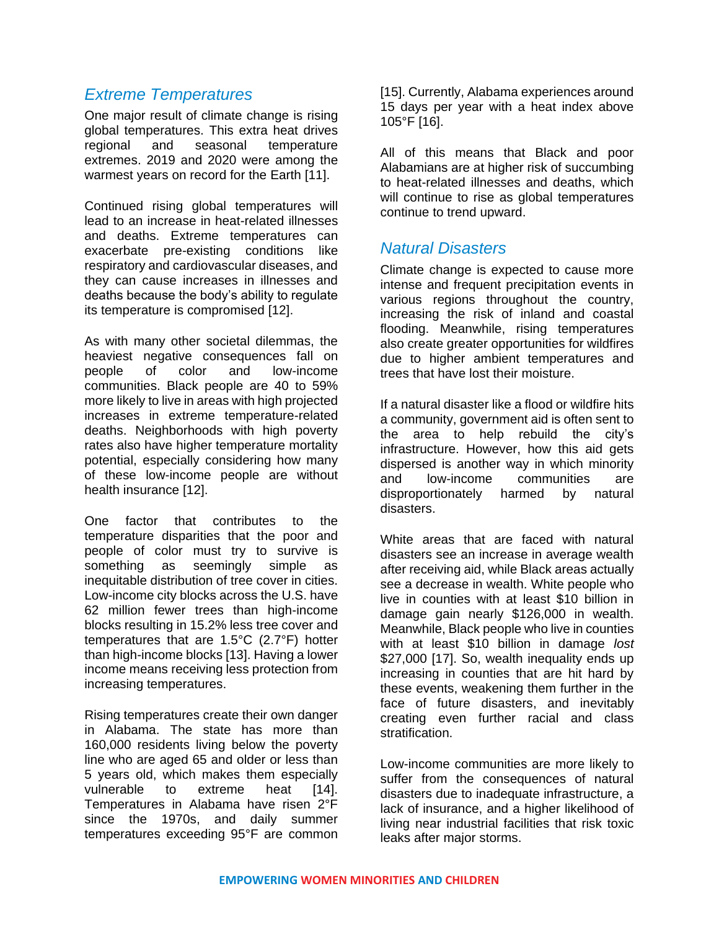### *Extreme Temperatures*

One major result of climate change is rising global temperatures. This extra heat drives regional and seasonal temperature extremes. 2019 and 2020 were among the warmest years on record for the Earth [11].

Continued rising global temperatures will lead to an increase in heat-related illnesses and deaths. Extreme temperatures can exacerbate pre-existing conditions like respiratory and cardiovascular diseases, and they can cause increases in illnesses and deaths because the body's ability to regulate its temperature is compromised [12].

As with many other societal dilemmas, the heaviest negative consequences fall on people of color and low-income communities. Black people are 40 to 59% more likely to live in areas with high projected increases in extreme temperature-related deaths. Neighborhoods with high poverty rates also have higher temperature mortality potential, especially considering how many of these low-income people are without health insurance [12].

One factor that contributes to the temperature disparities that the poor and people of color must try to survive is something as seemingly simple as inequitable distribution of tree cover in cities. Low-income city blocks across the U.S. have 62 million fewer trees than high-income blocks resulting in 15.2% less tree cover and temperatures that are 1.5°C (2.7°F) hotter than high-income blocks [13]. Having a lower income means receiving less protection from increasing temperatures.

Rising temperatures create their own danger in Alabama. The state has more than 160,000 residents living below the poverty line who are aged 65 and older or less than 5 years old, which makes them especially vulnerable to extreme heat [14]. Temperatures in Alabama have risen 2°F since the 1970s, and daily summer temperatures exceeding 95°F are common

[15]. Currently, Alabama experiences around 15 days per year with a heat index above 105°F [16].

All of this means that Black and poor Alabamians are at higher risk of succumbing to heat-related illnesses and deaths, which will continue to rise as global temperatures continue to trend upward.

### *Natural Disasters*

Climate change is expected to cause more intense and frequent precipitation events in various regions throughout the country, increasing the risk of inland and coastal flooding. Meanwhile, rising temperatures also create greater opportunities for wildfires due to higher ambient temperatures and trees that have lost their moisture.

If a natural disaster like a flood or wildfire hits a community, government aid is often sent to the area to help rebuild the city's infrastructure. However, how this aid gets dispersed is another way in which minority and low-income communities are disproportionately harmed by natural disasters.

White areas that are faced with natural disasters see an increase in average wealth after receiving aid, while Black areas actually see a decrease in wealth. White people who live in counties with at least \$10 billion in damage gain nearly \$126,000 in wealth. Meanwhile, Black people who live in counties with at least \$10 billion in damage *lost* \$27,000 [17]. So, wealth inequality ends up increasing in counties that are hit hard by these events, weakening them further in the face of future disasters, and inevitably creating even further racial and class stratification.

Low-income communities are more likely to suffer from the consequences of natural disasters due to inadequate infrastructure, a lack of insurance, and a higher likelihood of living near industrial facilities that risk toxic leaks after major storms.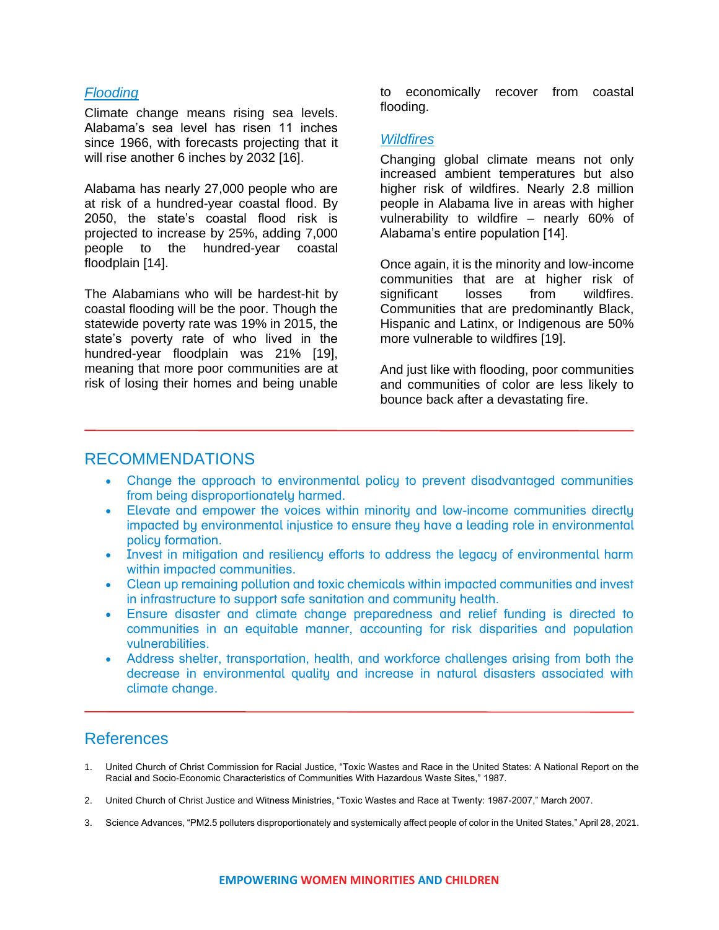#### *Flooding*

Climate change means rising sea levels. Alabama's sea level has risen 11 inches since 1966, with forecasts projecting that it will rise another 6 inches by 2032 [16].

Alabama has nearly 27,000 people who are at risk of a hundred-year coastal flood. By 2050, the state's coastal flood risk is projected to increase by 25%, adding 7,000 people to the hundred-year coastal floodplain [14].

The Alabamians who will be hardest-hit by coastal flooding will be the poor. Though the statewide poverty rate was 19% in 2015, the state's poverty rate of who lived in the hundred-year floodplain was 21% [19], meaning that more poor communities are at risk of losing their homes and being unable

to economically recover from coastal flooding.

#### *Wildfires*

Changing global climate means not only increased ambient temperatures but also higher risk of wildfires. Nearly 2.8 million people in Alabama live in areas with higher vulnerability to wildfire – nearly 60% of Alabama's entire population [14].

Once again, it is the minority and low-income communities that are at higher risk of<br>significant losses from wildfires. significant losses from wildfires. Communities that are predominantly Black, Hispanic and Latinx, or Indigenous are 50% more vulnerable to wildfires [19].

And just like with flooding, poor communities and communities of color are less likely to bounce back after a devastating fire.

#### RECOMMENDATIONS

- Change the approach to environmental policy to prevent disadvantaged communities from being disproportionately harmed.
- Elevate and empower the voices within minority and low-income communities directly impacted by environmental injustice to ensure they have a leading role in environmental policy formation.
- Invest in mitigation and resiliency efforts to address the legacy of environmental harm within impacted communities.
- Clean up remaining pollution and toxic chemicals within impacted communities and invest in infrastructure to support safe sanitation and community health.
- Ensure disaster and climate change preparedness and relief funding is directed to communities in an equitable manner, accounting for risk disparities and population vulnerabilities.
- Address shelter, transportation, health, and workforce challenges arising from both the decrease in environmental quality and increase in natural disasters associated with climate change.

### References

- 1. United Church of Christ Commission for Racial Justice, "Toxic Wastes and Race in the United States: A National Report on the Racial and Socio-Economic Characteristics of Communities With Hazardous Waste Sites," 1987.
- 2. United Church of Christ Justice and Witness Ministries, "Toxic Wastes and Race at Twenty: 1987-2007," March 2007.
- 3. Science Advances, "PM2.5 polluters disproportionately and systemically affect people of color in the United States," April 28, 2021.